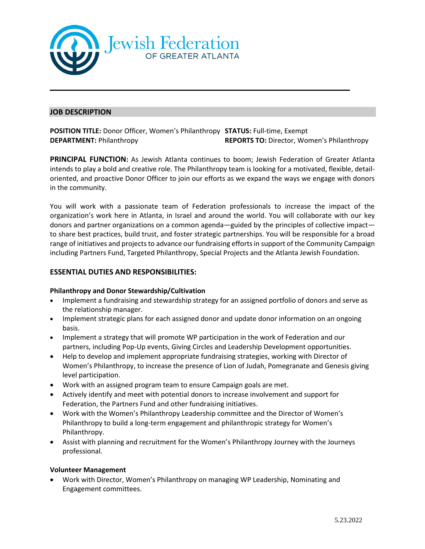

# **JOB DESCRIPTION**

**POSITION TITLE:** Donor Officer, Women's Philanthropy **STATUS:** Full-time, Exempt **DEPARTMENT:** Philanthropy **REPORTS TO:** Director, Women's Philanthropy

**PRINCIPAL FUNCTION:** As Jewish Atlanta continues to boom; Jewish Federation of Greater Atlanta intends to play a bold and creative role. The Philanthropy team is looking for a motivated, flexible, detailoriented, and proactive Donor Officer to join our efforts as we expand the ways we engage with donors in the community.

You will work with a passionate team of Federation professionals to increase the impact of the organization's work here in Atlanta, in Israel and around the world. You will collaborate with our key donors and partner organizations on a common agenda—guided by the principles of collective impact to share best practices, build trust, and foster strategic partnerships. You will be responsible for a broad range of initiatives and projects to advance our fundraising efforts in support of the Community Campaign including Partners Fund, Targeted Philanthropy, Special Projects and the Atlanta Jewish Foundation.

# **ESSENTIAL DUTIES AND RESPONSIBILITIES:**

## **Philanthropy and Donor Stewardship/Cultivation**

- Implement a fundraising and stewardship strategy for an assigned portfolio of donors and serve as the relationship manager.
- Implement strategic plans for each assigned donor and update donor information on an ongoing basis.
- Implement a strategy that will promote WP participation in the work of Federation and our partners, including Pop-Up events, Giving Circles and Leadership Development opportunities.
- Help to develop and implement appropriate fundraising strategies, working with Director of Women's Philanthropy, to increase the presence of Lion of Judah, Pomegranate and Genesis giving level participation.
- Work with an assigned program team to ensure Campaign goals are met.
- Actively identify and meet with potential donors to increase involvement and support for Federation, the Partners Fund and other fundraising initiatives.
- Work with the Women's Philanthropy Leadership committee and the Director of Women's Philanthropy to build a long-term engagement and philanthropic strategy for Women's Philanthropy.
- Assist with planning and recruitment for the Women's Philanthropy Journey with the Journeys professional.

## **Volunteer Management**

• Work with Director, Women's Philanthropy on managing WP Leadership, Nominating and Engagement committees.